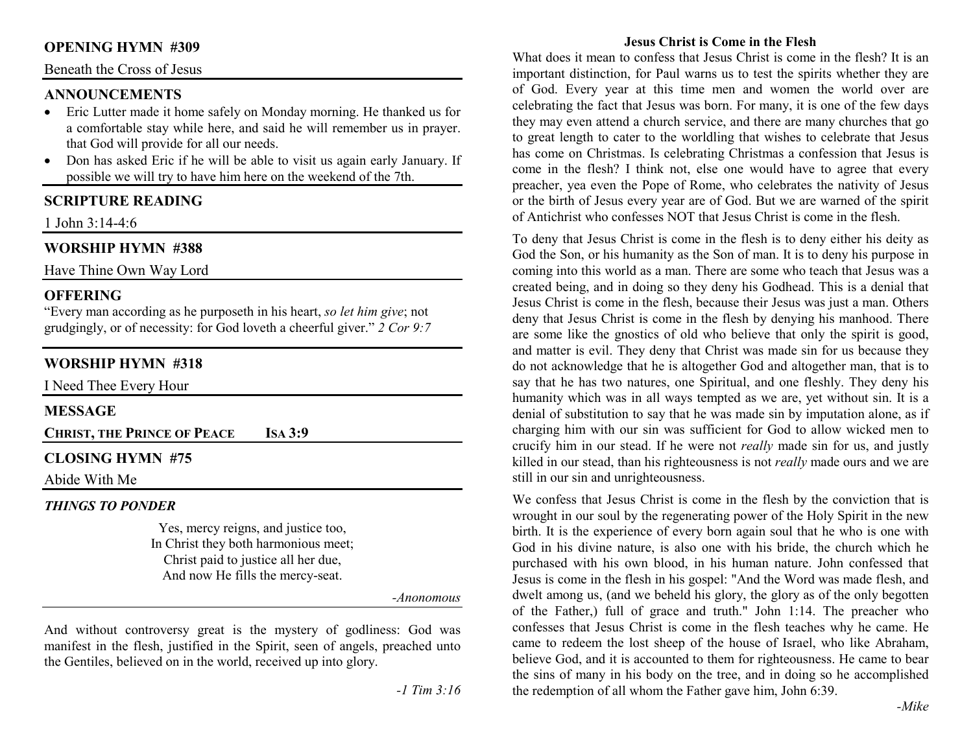# **OPENING HYMN #309**

# Beneath the Cross of Jesus

## **ANNOUNCEMENTS**

- Eric Lutter made it home safely on Monday morning. He thanked us for •a comfortable stay while here, and said he will remember us in prayer. that God will provide for all our needs.
- • Don has asked Eric if he will be able to visit us again early January. If possible we will try to have him here on the weekend of the 7th.

# **SCRIPTURE READING**

1 John 3:14-4:6

# **WORSHIP HYMN #388**

Have Thine Own Way Lord

## **OFFERING**

 "Every man according as he purposeth in his heart, *so let him give*; not grudgingly, or of necessity: for God loveth a cheerful giver." *2 Cor 9:7*

# **WORSHIP HYMN #318**

I Need Thee Every Hour

# **MESSAGE**

**CHRIST, THE PRINCE OF**  $\mathbf{IsA}3:9$ 

# **CLOSING HYMN #75**

Abide With Me

#### *THINGS TO PONDER*

 Yes, mercy reigns, and justice too, In Christ they both harmonious meet; Christ paid to justice all her due, And now He fills the mercy-seat.

*-Anonomous* 

And without controversy great is the mystery of godliness: God was manifest in the flesh, justified in the Spirit, seen of angels, preached unto the Gentiles, believed on in the world, received up into glory.

### **Jesus Christ is Come in the Flesh**

What does it mean to confess that Jesus Christ is come in the flesh? It is an important distinction, for Paul warns us to test the spirits whether they are of God. Every year at this time men and women the world over are celebrating the fact that Jesus was born. For many, it is one of the few days they may even attend a church service, and there are many churches that go to great length to cater to the worldling that wishes to celebrate that Jesus has come on Christmas. Is celebrating Christmas a confession that Jesus is come in the flesh? I think not, else one would have to agree that every preacher, yea even the Pope of Rome, who celebrates the nativity of Jesus or the birth of Jesus every year are of God. But we are warned of the spirit of Antichrist who confesses NOT that Jesus Christ is come in the flesh.

To deny that Jesus Christ is come in the flesh is to deny either his deity as God the Son, or his humanity as the Son of man. It is to deny his purpose in coming into this world as a man. There are some who teach that Jesus was a created being, and in doing so they deny his Godhead. This is a denial that Jesus Christ is come in the flesh, because their Jesus was just a man. Others deny that Jesus Christ is come in the flesh by denying his manhood. There are some like the gnostics of old who believe that only the spirit is good, and matter is evil. They deny that Christ was made sin for us because they do not acknowledge that he is altogether God and altogether man, that is to say that he has two natures, one Spiritual, and one fleshly. They deny his humanity which was in all ways tempted as we are, yet without sin. It is a denial of substitution to say that he was made sin by imputation alone, as if charging him with our sin was sufficient for God to allow wicked men to crucify him in our stead. If he were not *really* made sin for us, and justly killed in our stead, than his righteousness is not *really* made ours and we are still in our sin and unrighteousness.

We confess that Jesus Christ is come in the flesh by the conviction that is wrought in our soul by the regenerating power of the Holy Spirit in the new birth. It is the experience of every born again soul that he who is one with God in his divine nature, is also one with his bride, the church which he purchased with his own blood, in his human nature. John confessed that Jesus is come in the flesh in his gospel: "And the Word was made flesh, and dwelt among us, (and we beheld his glory, the glory as of the only begotten of the Father,) full of grace and truth." John 1:14. The preacher who confesses that Jesus Christ is come in the flesh teaches why he came. He came to redeem the lost sheep of the house of Israel, who like Abraham, believe God, and it is accounted to them for righteousness. He came to bear the sins of many in his body on the tree, and in doing so he accomplished the redemption of all whom the Father gave him, John 6:39.